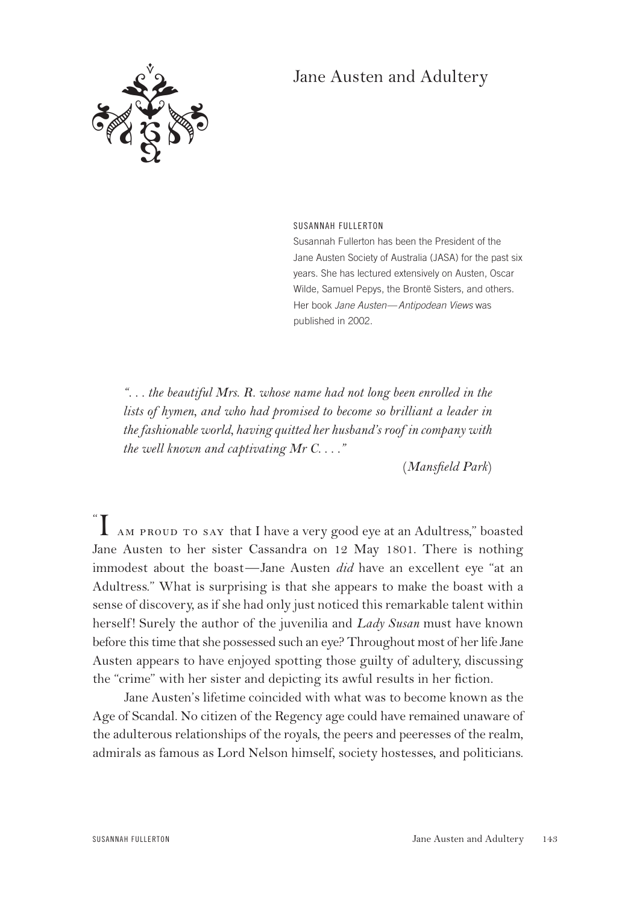## : 32 32  $\beta$

## Jane Austen and Adultery

SUSANNAH FULLERTON

Susannah Fullerton has been the President of the Jane Austen Society of Australia (JASA) for the past six years. She has lectured extensively on Austen, Oscar Wilde, Samuel Pepys, the Brontë Sisters, and others. Her book *Jane Austen*—*Antipodean Views* was published in 2002.

*". . . the beautiful Mrs. R. whose name had not long been enrolled in the lists of hymen, and who had promised to become so brilliant a leader in the fashionable world, having quitted her husband's roof in company with the well known and captivating Mr C. . . ."*

(*Mansfield Park*)

"  $\prod$   $_{\rm AM}$  proud to say that I have a very good eye at an Adultress," boasted Jane Austen to her sister Cassandra on 12 May 1801. There is nothing immodest about the boast—Jane Austen *did* have an excellent eye "at an Adultress." What is surprising is that she appears to make the boast with a sense of discovery, as if she had only just noticed this remarkable talent within herself! Surely the author of the juvenilia and *Lady Susan* must have known before this time that she possessed such an eye? Throughout most of her life Jane Austen appears to have enjoyed spotting those guilty of adultery, discussing the "crime" with her sister and depicting its awful results in her fiction.

Jane Austen's lifetime coincided with what was to become known as the Age of Scandal. No citizen of the Regency age could have remained unaware of the adulterous relationships of the royals, the peers and peeresses of the realm, admirals as famous as Lord Nelson himself, society hostesses, and politicians.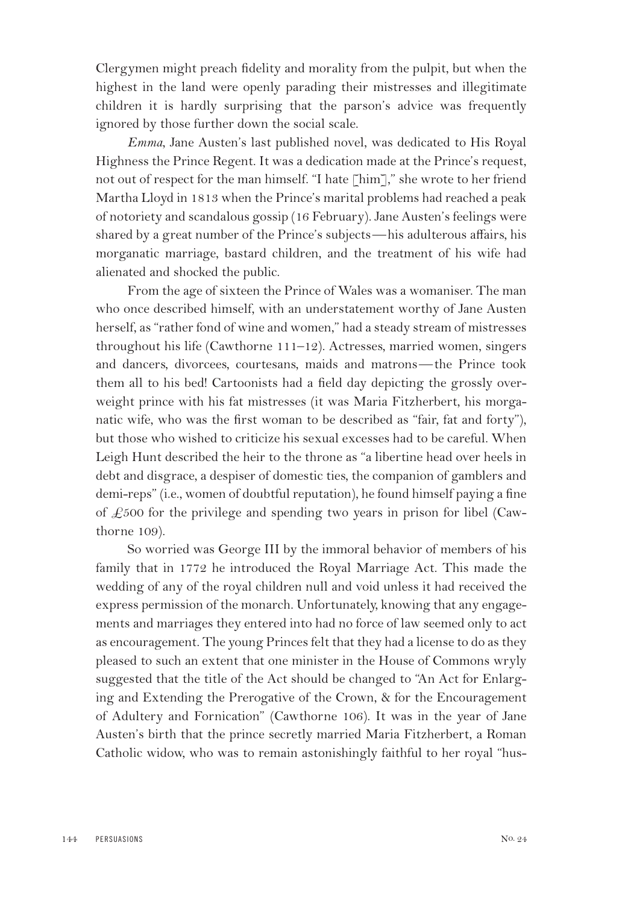Clergymen might preach fidelity and morality from the pulpit, but when the highest in the land were openly parading their mistresses and illegitimate children it is hardly surprising that the parson's advice was frequently ignored by those further down the social scale.

*Emma*, Jane Austen's last published novel, was dedicated to His Royal Highness the Prince Regent. It was a dedication made at the Prince's request, not out of respect for the man himself. "I hate [him]," she wrote to her friend Martha Lloyd in 1813 when the Prince's marital problems had reached a peak of notoriety and scandalous gossip (16 February). Jane Austen's feelings were shared by a great number of the Prince's subjects—his adulterous affairs, his morganatic marriage, bastard children, and the treatment of his wife had alienated and shocked the public.

From the age of sixteen the Prince of Wales was a womaniser. The man who once described himself, with an understatement worthy of Jane Austen herself, as "rather fond of wine and women," had a steady stream of mistresses throughout his life (Cawthorne 111–12). Actresses, married women, singers and dancers, divorcees, courtesans, maids and matrons—the Prince took them all to his bed! Cartoonists had a field day depicting the grossly overweight prince with his fat mistresses (it was Maria Fitzherbert, his morganatic wife, who was the first woman to be described as "fair, fat and forty"), but those who wished to criticize his sexual excesses had to be careful. When Leigh Hunt described the heir to the throne as "a libertine head over heels in debt and disgrace, a despiser of domestic ties, the companion of gamblers and demi-reps" (i.e., women of doubtful reputation), he found himself paying a fine of  $\pounds$ 500 for the privilege and spending two years in prison for libel (Cawthorne 109).

So worried was George III by the immoral behavior of members of his family that in 1772 he introduced the Royal Marriage Act. This made the wedding of any of the royal children null and void unless it had received the express permission of the monarch. Unfortunately, knowing that any engagements and marriages they entered into had no force of law seemed only to act as encouragement. The young Princes felt that they had a license to do as they pleased to such an extent that one minister in the House of Commons wryly suggested that the title of the Act should be changed to "An Act for Enlarging and Extending the Prerogative of the Crown, & for the Encouragement of Adultery and Fornication" (Cawthorne 106). It was in the year of Jane Austen's birth that the prince secretly married Maria Fitzherbert, a Roman Catholic widow, who was to remain astonishingly faithful to her royal "hus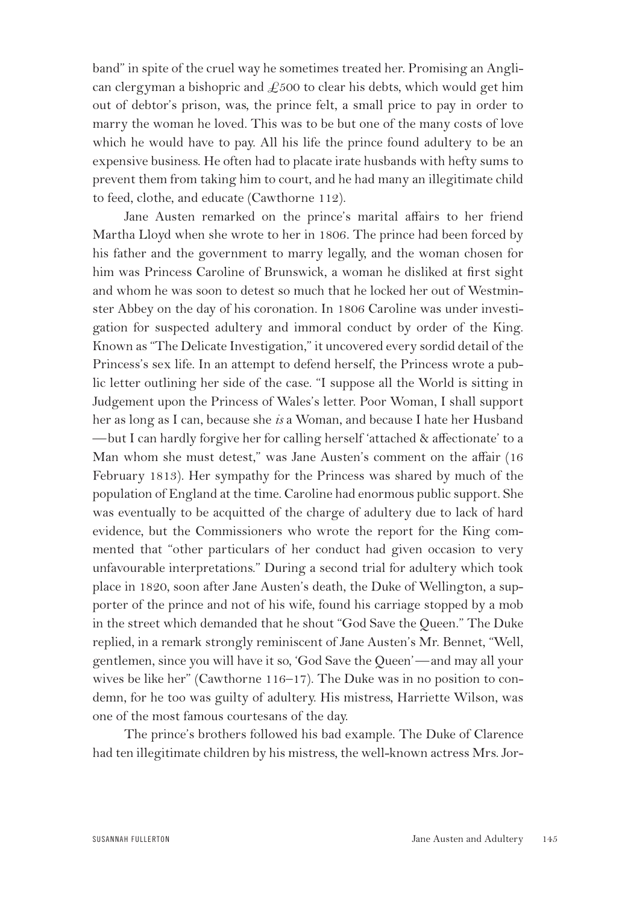band" in spite of the cruel way he sometimes treated her. Promising an Anglican clergyman a bishopric and  $\text{\pounds}500$  to clear his debts, which would get him out of debtor's prison, was, the prince felt, a small price to pay in order to marry the woman he loved. This was to be but one of the many costs of love which he would have to pay. All his life the prince found adultery to be an expensive business. He often had to placate irate husbands with hefty sums to prevent them from taking him to court, and he had many an illegitimate child to feed, clothe, and educate (Cawthorne 112).

Jane Austen remarked on the prince's marital affairs to her friend Martha Lloyd when she wrote to her in 1806. The prince had been forced by his father and the government to marry legally, and the woman chosen for him was Princess Caroline of Brunswick, a woman he disliked at first sight and whom he was soon to detest so much that he locked her out of Westminster Abbey on the day of his coronation. In 1806 Caroline was under investigation for suspected adultery and immoral conduct by order of the King. Known as "The Delicate Investigation," it uncovered every sordid detail of the Princess's sex life. In an attempt to defend herself, the Princess wrote a public letter outlining her side of the case. "I suppose all the World is sitting in Judgement upon the Princess of Wales's letter. Poor Woman, I shall support her as long as I can, because she *is* a Woman, and because I hate her Husband —but I can hardly forgive her for calling herself 'attached & affectionate' to a Man whom she must detest," was Jane Austen's comment on the affair (16 February 1813). Her sympathy for the Princess was shared by much of the population of England at the time. Caroline had enormous public support. She was eventually to be acquitted of the charge of adultery due to lack of hard evidence, but the Commissioners who wrote the report for the King commented that "other particulars of her conduct had given occasion to very unfavourable interpretations." During a second trial for adultery which took place in 1820, soon after Jane Austen's death, the Duke of Wellington, a supporter of the prince and not of his wife, found his carriage stopped by a mob in the street which demanded that he shout "God Save the Queen." The Duke replied, in a remark strongly reminiscent of Jane Austen's Mr. Bennet, "Well, gentlemen, since you will have it so, 'God Save the Queen'—and may all your wives be like her" (Cawthorne 116–17). The Duke was in no position to condemn, for he too was guilty of adultery. His mistress, Harriette Wilson, was one of the most famous courtesans of the day.

The prince's brothers followed his bad example. The Duke of Clarence had ten illegitimate children by his mistress, the well-known actress Mrs. Jor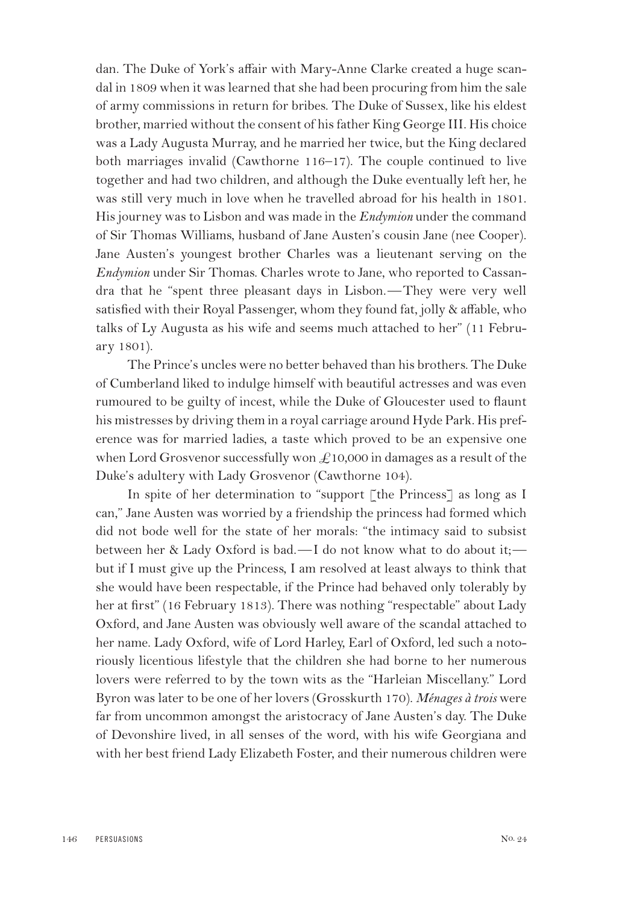dan. The Duke of York's affair with Mary-Anne Clarke created a huge scandal in 1809 when it was learned that she had been procuring from him the sale of army commissions in return for bribes. The Duke of Sussex, like his eldest brother, married without the consent of his father King George III. His choice was a Lady Augusta Murray, and he married her twice, but the King declared both marriages invalid (Cawthorne 116–17). The couple continued to live together and had two children, and although the Duke eventually left her, he was still very much in love when he travelled abroad for his health in 1801. His journey was to Lisbon and was made in the *Endymion* under the command of Sir Thomas Williams, husband of Jane Austen's cousin Jane (nee Cooper). Jane Austen's youngest brother Charles was a lieutenant serving on the *Endymion* under Sir Thomas. Charles wrote to Jane, who reported to Cassandra that he "spent three pleasant days in Lisbon.—They were very well satisfied with their Royal Passenger, whom they found fat, jolly & affable, who talks of Ly Augusta as his wife and seems much attached to her" (11 February 1801).

The Prince's uncles were no better behaved than his brothers. The Duke of Cumberland liked to indulge himself with beautiful actresses and was even rumoured to be guilty of incest, while the Duke of Gloucester used to flaunt his mistresses by driving them in a royal carriage around Hyde Park. His preference was for married ladies, a taste which proved to be an expensive one when Lord Grosvenor successfully won  $\pounds$ 10,000 in damages as a result of the Duke's adultery with Lady Grosvenor (Cawthorne 104).

In spite of her determination to "support [the Princess] as long as I can," Jane Austen was worried by a friendship the princess had formed which did not bode well for the state of her morals: "the intimacy said to subsist between her & Lady Oxford is bad.—I do not know what to do about it; but if I must give up the Princess, I am resolved at least always to think that she would have been respectable, if the Prince had behaved only tolerably by her at first" (16 February 1813). There was nothing "respectable" about Lady Oxford, and Jane Austen was obviously well aware of the scandal attached to her name. Lady Oxford, wife of Lord Harley, Earl of Oxford, led such a notoriously licentious lifestyle that the children she had borne to her numerous lovers were referred to by the town wits as the "Harleian Miscellany." Lord Byron was later to be one of her lovers (Grosskurth 170). *Ménages à trois* were far from uncommon amongst the aristocracy of Jane Austen's day. The Duke of Devonshire lived, in all senses of the word, with his wife Georgiana and with her best friend Lady Elizabeth Foster, and their numerous children were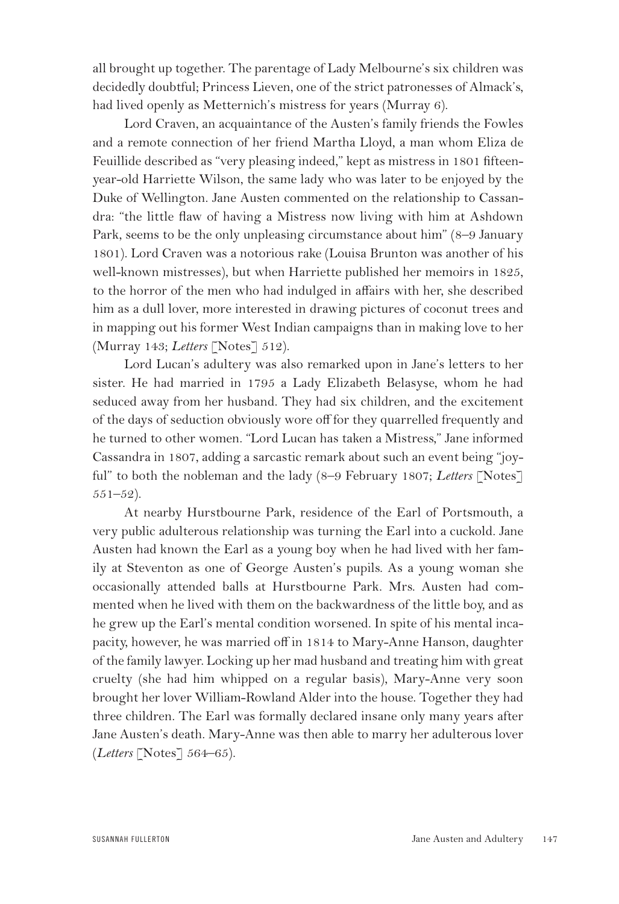all brought up together. The parentage of Lady Melbourne's six children was decidedly doubtful; Princess Lieven, one of the strict patronesses of Almack's, had lived openly as Metternich's mistress for years (Murray 6).

Lord Craven, an acquaintance of the Austen's family friends the Fowles and a remote connection of her friend Martha Lloyd, a man whom Eliza de Feuillide described as "very pleasing indeed," kept as mistress in 1801 fifteenyear-old Harriette Wilson, the same lady who was later to be enjoyed by the Duke of Wellington. Jane Austen commented on the relationship to Cassandra: "the little flaw of having a Mistress now living with him at Ashdown Park, seems to be the only unpleasing circumstance about him" (8–9 January 1801). Lord Craven was a notorious rake (Louisa Brunton was another of his well-known mistresses), but when Harriette published her memoirs in 1825, to the horror of the men who had indulged in affairs with her, she described him as a dull lover, more interested in drawing pictures of coconut trees and in mapping out his former West Indian campaigns than in making love to her (Murray 143; *Letters* [Notes] 512).

Lord Lucan's adultery was also remarked upon in Jane's letters to her sister. He had married in 1795 a Lady Elizabeth Belasyse, whom he had seduced away from her husband. They had six children, and the excitement of the days of seduction obviously wore off for they quarrelled frequently and he turned to other women. "Lord Lucan has taken a Mistress," Jane informed Cassandra in 1807, adding a sarcastic remark about such an event being "joyful" to both the nobleman and the lady (8–9 February 1807; *Letters* [Notes]  $551 - 52$ ).

At nearby Hurstbourne Park, residence of the Earl of Portsmouth, a very public adulterous relationship was turning the Earl into a cuckold. Jane Austen had known the Earl as a young boy when he had lived with her family at Steventon as one of George Austen's pupils. As a young woman she occasionally attended balls at Hurstbourne Park. Mrs. Austen had commented when he lived with them on the backwardness of the little boy, and as he grew up the Earl's mental condition worsened. In spite of his mental incapacity, however, he was married off in 1814 to Mary-Anne Hanson, daughter of the family lawyer. Locking up her mad husband and treating him with great cruelty (she had him whipped on a regular basis), Mary-Anne very soon brought her lover William-Rowland Alder into the house. Together they had three children. The Earl was formally declared insane only many years after Jane Austen's death. Mary-Anne was then able to marry her adulterous lover (*Letters* [Notes] 564–65).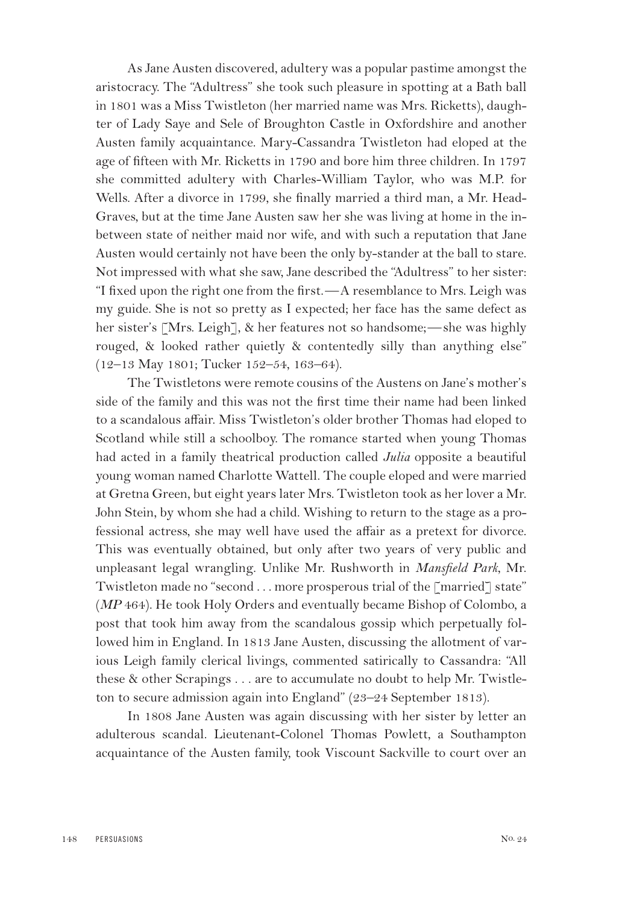As Jane Austen discovered, adultery was a popular pastime amongst the aristocracy. The "Adultress" she took such pleasure in spotting at a Bath ball in 1801 was a Miss Twistleton (her married name was Mrs. Ricketts), daughter of Lady Saye and Sele of Broughton Castle in Oxfordshire and another Austen family acquaintance. Mary-Cassandra Twistleton had eloped at the age of fifteen with Mr. Ricketts in 1790 and bore him three children. In 1797 she committed adultery with Charles-William Taylor, who was M.P. for Wells. After a divorce in 1799, she finally married a third man, a Mr. Head-Graves, but at the time Jane Austen saw her she was living at home in the inbetween state of neither maid nor wife, and with such a reputation that Jane Austen would certainly not have been the only by-stander at the ball to stare. Not impressed with what she saw, Jane described the "Adultress" to her sister: "I fixed upon the right one from the first.—A resemblance to Mrs. Leigh was my guide. She is not so pretty as I expected; her face has the same defect as her sister's [Mrs. Leigh], & her features not so handsome;—she was highly rouged, & looked rather quietly & contentedly silly than anything else" (12–13 May 1801; Tucker 152–54, 163–64).

The Twistletons were remote cousins of the Austens on Jane's mother's side of the family and this was not the first time their name had been linked to a scandalous affair. Miss Twistleton's older brother Thomas had eloped to Scotland while still a schoolboy. The romance started when young Thomas had acted in a family theatrical production called *Julia* opposite a beautiful young woman named Charlotte Wattell. The couple eloped and were married at Gretna Green, but eight years later Mrs. Twistleton took as her lover a Mr. John Stein, by whom she had a child. Wishing to return to the stage as a professional actress, she may well have used the affair as a pretext for divorce. This was eventually obtained, but only after two years of very public and unpleasant legal wrangling. Unlike Mr. Rushworth in *Mansfield Park*, Mr. Twistleton made no "second . . . more prosperous trial of the [married] state" (*MP* 464). He took Holy Orders and eventually became Bishop of Colombo, a post that took him away from the scandalous gossip which perpetually followed him in England. In 1813 Jane Austen, discussing the allotment of various Leigh family clerical livings, commented satirically to Cassandra: "All these & other Scrapings . . . are to accumulate no doubt to help Mr. Twistleton to secure admission again into England" (23–24 September 1813).

In 1808 Jane Austen was again discussing with her sister by letter an adulterous scandal. Lieutenant-Colonel Thomas Powlett, a Southampton acquaintance of the Austen family, took Viscount Sackville to court over an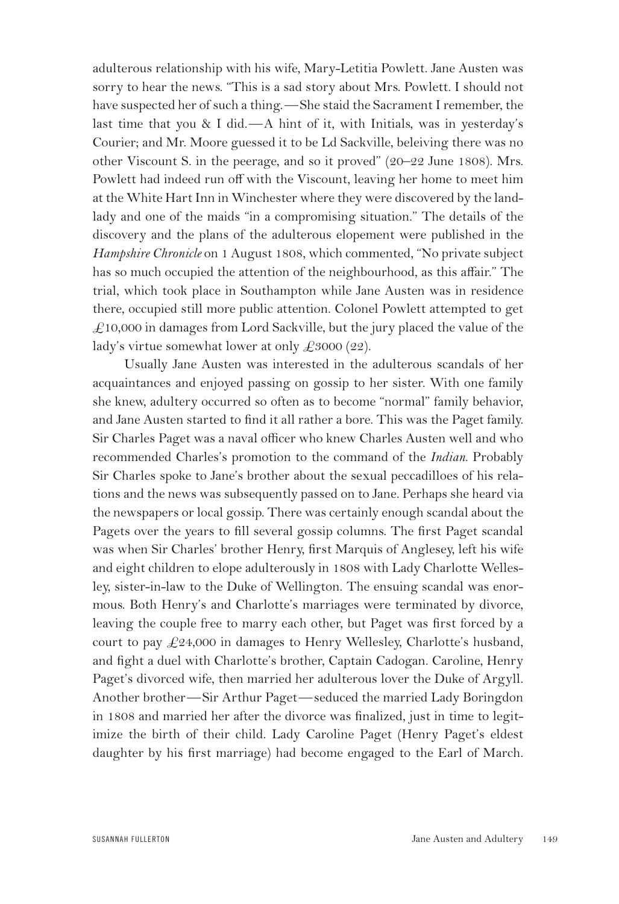adulterous relationship with his wife, Mary-Letitia Powlett. Jane Austen was sorry to hear the news. "This is a sad story about Mrs. Powlett. I should not have suspected her of such a thing.—She staid the Sacrament I remember, the last time that you & I did.—A hint of it, with Initials, was in yesterday's Courier; and Mr. Moore guessed it to be Ld Sackville, beleiving there was no other Viscount S. in the peerage, and so it proved" (20–22 June 1808). Mrs. Powlett had indeed run off with the Viscount, leaving her home to meet him at the White Hart Inn in Winchester where they were discovered by the landlady and one of the maids "in a compromising situation." The details of the discovery and the plans of the adulterous elopement were published in the *Hampshire Chronicle* on 1 August 1808, which commented, "No private subject has so much occupied the attention of the neighbourhood, as this affair." The trial, which took place in Southampton while Jane Austen was in residence there, occupied still more public attention. Colonel Powlett attempted to get  $£10,000$  in damages from Lord Sackville, but the jury placed the value of the lady's virtue somewhat lower at only  $\pounds 3000 (22)$ .

Usually Jane Austen was interested in the adulterous scandals of her acquaintances and enjoyed passing on gossip to her sister. With one family she knew, adultery occurred so often as to become "normal" family behavior, and Jane Austen started to find it all rather a bore. This was the Paget family. Sir Charles Paget was a naval officer who knew Charles Austen well and who recommended Charles's promotion to the command of the *Indian*. Probably Sir Charles spoke to Jane's brother about the sexual peccadilloes of his relations and the news was subsequently passed on to Jane. Perhaps she heard via the newspapers or local gossip. There was certainly enough scandal about the Pagets over the years to fill several gossip columns. The first Paget scandal was when Sir Charles' brother Henry, first Marquis of Anglesey, left his wife and eight children to elope adulterously in 1808 with Lady Charlotte Wellesley, sister-in-law to the Duke of Wellington. The ensuing scandal was enormous. Both Henry's and Charlotte's marriages were terminated by divorce, leaving the couple free to marry each other, but Paget was first forced by a court to pay £24,000 in damages to Henry Wellesley, Charlotte's husband, and fight a duel with Charlotte's brother, Captain Cadogan. Caroline, Henry Paget's divorced wife, then married her adulterous lover the Duke of Argyll. Another brother—Sir Arthur Paget—seduced the married Lady Boringdon in 1808 and married her after the divorce was finalized, just in time to legitimize the birth of their child. Lady Caroline Paget (Henry Paget's eldest daughter by his first marriage) had become engaged to the Earl of March.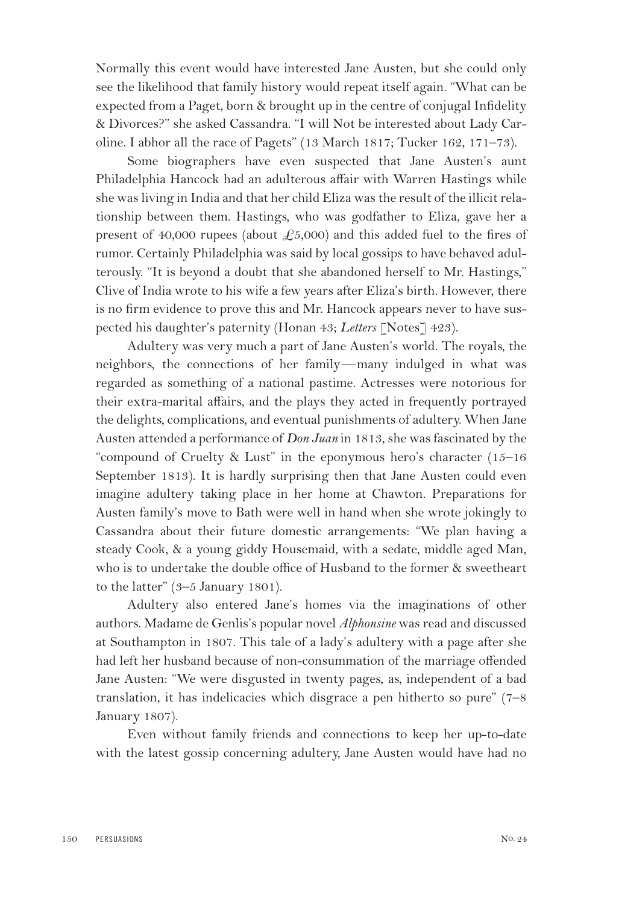Normally this event would have interested Jane Austen, but she could only see the likelihood that family history would repeat itself again. "What can be expected from a Paget, born & brought up in the centre of conjugal Infidelity & Divorces?" she asked Cassandra. "I will Not be interested about Lady Caroline. I abhor all the race of Pagets" (13 March 1817; Tucker 162, 171–73).

Some biographers have even suspected that Jane Austen's aunt Philadelphia Hancock had an adulterous affair with Warren Hastings while she was living in India and that her child Eliza was the result of the illicit relationship between them. Hastings, who was godfather to Eliza, gave her a present of 40,000 rupees (about  $\text{\textsterling}5,000$ ) and this added fuel to the fires of rumor. Certainly Philadelphia was said by local gossips to have behaved adulterously. "It is beyond a doubt that she abandoned herself to Mr. Hastings," Clive of India wrote to his wife a few years after Eliza's birth. However, there is no firm evidence to prove this and Mr. Hancock appears never to have suspected his daughter's paternity (Honan 43; *Letters* [Notes] 423).

Adultery was very much a part of Jane Austen's world. The royals, the neighbors, the connections of her family—many indulged in what was regarded as something of a national pastime. Actresses were notorious for their extra-marital affairs, and the plays they acted in frequently portrayed the delights, complications, and eventual punishments of adultery. When Jane Austen attended a performance of *Don Juan* in 1813, she was fascinated by the "compound of Cruelty & Lust" in the eponymous hero's character (15–16 September 1813). It is hardly surprising then that Jane Austen could even imagine adultery taking place in her home at Chawton. Preparations for Austen family's move to Bath were well in hand when she wrote jokingly to Cassandra about their future domestic arrangements: "We plan having a steady Cook, & a young giddy Housemaid, with a sedate, middle aged Man, who is to undertake the double office of Husband to the former & sweetheart to the latter" (3–5 January 1801).

Adultery also entered Jane's homes via the imaginations of other authors. Madame de Genlis's popular novel *Alphonsine* was read and discussed at Southampton in 1807. This tale of a lady's adultery with a page after she had left her husband because of non-consummation of the marriage offended Jane Austen: "We were disgusted in twenty pages, as, independent of a bad translation, it has indelicacies which disgrace a pen hitherto so pure" (7–8 January 1807).

Even without family friends and connections to keep her up-to-date with the latest gossip concerning adultery, Jane Austen would have had no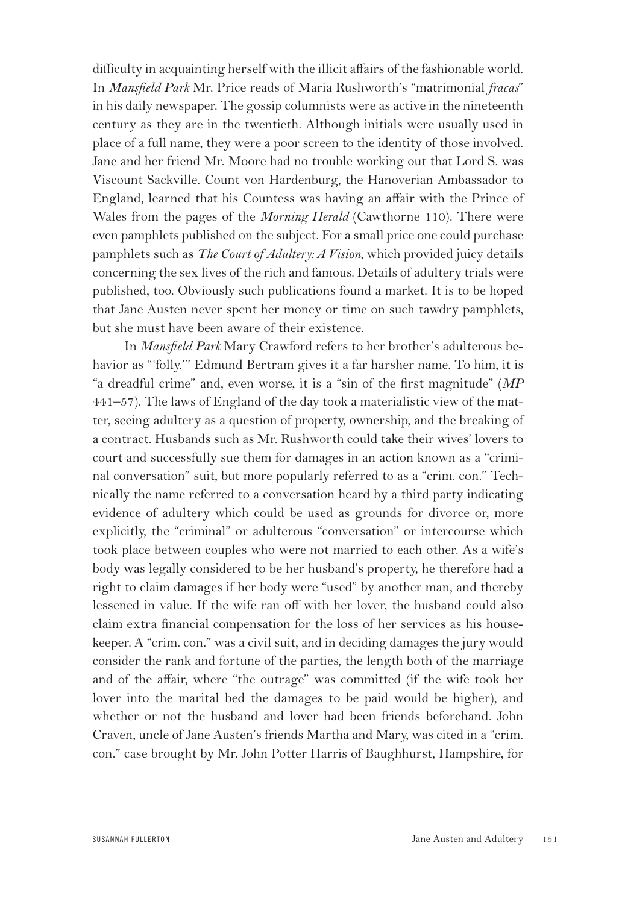difficulty in acquainting herself with the illicit affairs of the fashionable world. In *Mansfield Park* Mr. Price reads of Maria Rushworth's "matrimonial *fracas*" in his daily newspaper. The gossip columnists were as active in the nineteenth century as they are in the twentieth. Although initials were usually used in place of a full name, they were a poor screen to the identity of those involved. Jane and her friend Mr. Moore had no trouble working out that Lord S. was Viscount Sackville. Count von Hardenburg, the Hanoverian Ambassador to England, learned that his Countess was having an affair with the Prince of Wales from the pages of the *Morning Herald* (Cawthorne 110). There were even pamphlets published on the subject. For a small price one could purchase pamphlets such as *The Court of Adultery: A Vision*, which provided juicy details concerning the sex lives of the rich and famous. Details of adultery trials were published, too. Obviously such publications found a market. It is to be hoped that Jane Austen never spent her money or time on such tawdry pamphlets, but she must have been aware of their existence.

In *Mansfield Park* Mary Crawford refers to her brother's adulterous behavior as "'folly.'" Edmund Bertram gives it a far harsher name. To him, it is "a dreadful crime" and, even worse, it is a "sin of the first magnitude" (*MP* 441–57). The laws of England of the day took a materialistic view of the matter, seeing adultery as a question of property, ownership, and the breaking of a contract. Husbands such as Mr. Rushworth could take their wives' lovers to court and successfully sue them for damages in an action known as a "criminal conversation" suit, but more popularly referred to as a "crim. con." Technically the name referred to a conversation heard by a third party indicating evidence of adultery which could be used as grounds for divorce or, more explicitly, the "criminal" or adulterous "conversation" or intercourse which took place between couples who were not married to each other. As a wife's body was legally considered to be her husband's property, he therefore had a right to claim damages if her body were "used" by another man, and thereby lessened in value. If the wife ran off with her lover, the husband could also claim extra financial compensation for the loss of her services as his housekeeper. A "crim. con." was a civil suit, and in deciding damages the jury would consider the rank and fortune of the parties, the length both of the marriage and of the affair, where "the outrage" was committed (if the wife took her lover into the marital bed the damages to be paid would be higher), and whether or not the husband and lover had been friends beforehand. John Craven, uncle of Jane Austen's friends Martha and Mary, was cited in a "crim. con." case brought by Mr. John Potter Harris of Baughhurst, Hampshire, for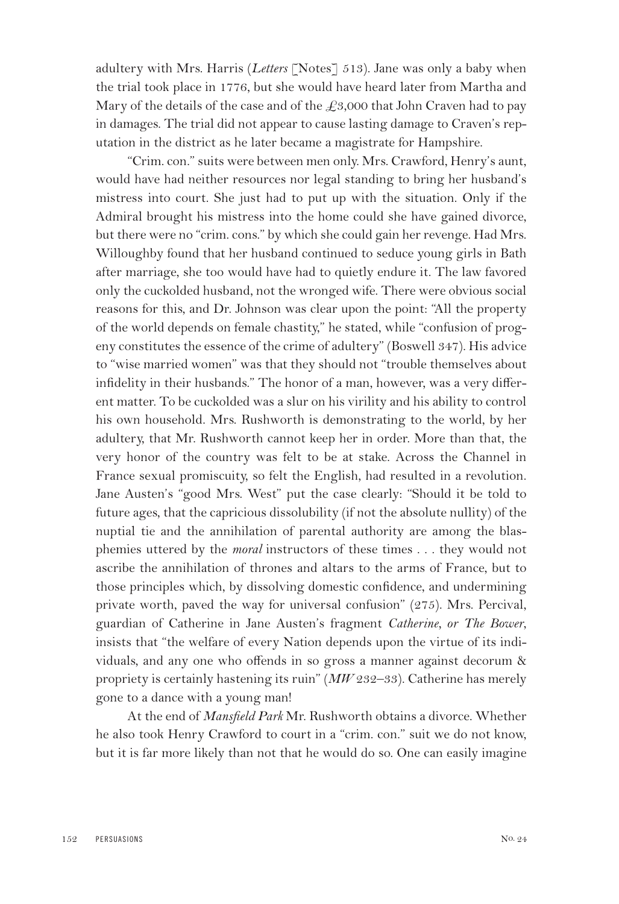adultery with Mrs. Harris (*Letters* [Notes] 513). Jane was only a baby when the trial took place in 1776, but she would have heard later from Martha and Mary of the details of the case and of the  $\text{\textsterling}3,000$  that John Craven had to pay in damages. The trial did not appear to cause lasting damage to Craven's reputation in the district as he later became a magistrate for Hampshire.

"Crim. con." suits were between men only. Mrs. Crawford, Henry's aunt, would have had neither resources nor legal standing to bring her husband's mistress into court. She just had to put up with the situation. Only if the Admiral brought his mistress into the home could she have gained divorce, but there were no "crim. cons." by which she could gain her revenge. Had Mrs. Willoughby found that her husband continued to seduce young girls in Bath after marriage, she too would have had to quietly endure it. The law favored only the cuckolded husband, not the wronged wife. There were obvious social reasons for this, and Dr. Johnson was clear upon the point: "All the property of the world depends on female chastity," he stated, while "confusion of progeny constitutes the essence of the crime of adultery" (Boswell 347). His advice to "wise married women" was that they should not "trouble themselves about infidelity in their husbands." The honor of a man, however, was a very different matter. To be cuckolded was a slur on his virility and his ability to control his own household. Mrs. Rushworth is demonstrating to the world, by her adultery, that Mr. Rushworth cannot keep her in order. More than that, the very honor of the country was felt to be at stake. Across the Channel in France sexual promiscuity, so felt the English, had resulted in a revolution. Jane Austen's "good Mrs. West" put the case clearly: "Should it be told to future ages, that the capricious dissolubility (if not the absolute nullity) of the nuptial tie and the annihilation of parental authority are among the blasphemies uttered by the *moral* instructors of these times . . . they would not ascribe the annihilation of thrones and altars to the arms of France, but to those principles which, by dissolving domestic confidence, and undermining private worth, paved the way for universal confusion" (275). Mrs. Percival, guardian of Catherine in Jane Austen's fragment *Catherine, or The Bower*, insists that "the welfare of every Nation depends upon the virtue of its individuals, and any one who offends in so gross a manner against decorum & propriety is certainly hastening its ruin" (*MW* 232–33). Catherine has merely gone to a dance with a young man!

At the end of *Mansfield Park* Mr. Rushworth obtains a divorce. Whether he also took Henry Crawford to court in a "crim. con." suit we do not know, but it is far more likely than not that he would do so. One can easily imagine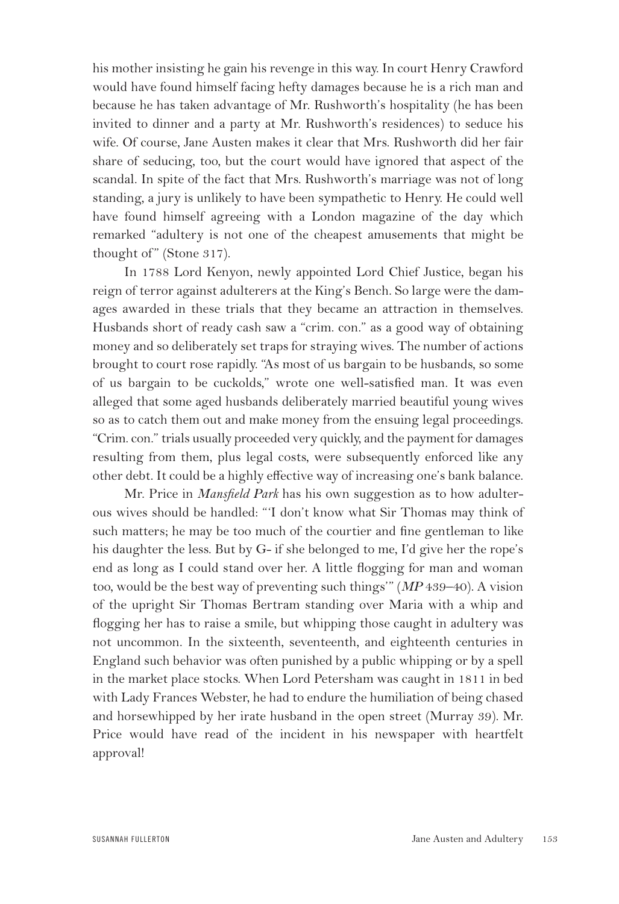his mother insisting he gain his revenge in this way. In court Henry Crawford would have found himself facing hefty damages because he is a rich man and because he has taken advantage of Mr. Rushworth's hospitality (he has been invited to dinner and a party at Mr. Rushworth's residences) to seduce his wife. Of course, Jane Austen makes it clear that Mrs. Rushworth did her fair share of seducing, too, but the court would have ignored that aspect of the scandal. In spite of the fact that Mrs. Rushworth's marriage was not of long standing, a jury is unlikely to have been sympathetic to Henry. He could well have found himself agreeing with a London magazine of the day which remarked "adultery is not one of the cheapest amusements that might be thought of" (Stone 317).

In 1788 Lord Kenyon, newly appointed Lord Chief Justice, began his reign of terror against adulterers at the King's Bench. So large were the damages awarded in these trials that they became an attraction in themselves. Husbands short of ready cash saw a "crim. con." as a good way of obtaining money and so deliberately set traps for straying wives. The number of actions brought to court rose rapidly. "As most of us bargain to be husbands, so some of us bargain to be cuckolds," wrote one well-satisfied man. It was even alleged that some aged husbands deliberately married beautiful young wives so as to catch them out and make money from the ensuing legal proceedings. "Crim. con." trials usually proceeded very quickly, and the payment for damages resulting from them, plus legal costs, were subsequently enforced like any other debt. It could be a highly effective way of increasing one's bank balance.

Mr. Price in *Mansfield Park* has his own suggestion as to how adulterous wives should be handled: "'I don't know what Sir Thomas may think of such matters; he may be too much of the courtier and fine gentleman to like his daughter the less. But by G- if she belonged to me, I'd give her the rope's end as long as I could stand over her. A little flogging for man and woman too, would be the best way of preventing such things'" (*MP* 439–40). A vision of the upright Sir Thomas Bertram standing over Maria with a whip and flogging her has to raise a smile, but whipping those caught in adultery was not uncommon. In the sixteenth, seventeenth, and eighteenth centuries in England such behavior was often punished by a public whipping or by a spell in the market place stocks. When Lord Petersham was caught in 1811 in bed with Lady Frances Webster, he had to endure the humiliation of being chased and horsewhipped by her irate husband in the open street (Murray 39). Mr. Price would have read of the incident in his newspaper with heartfelt approval!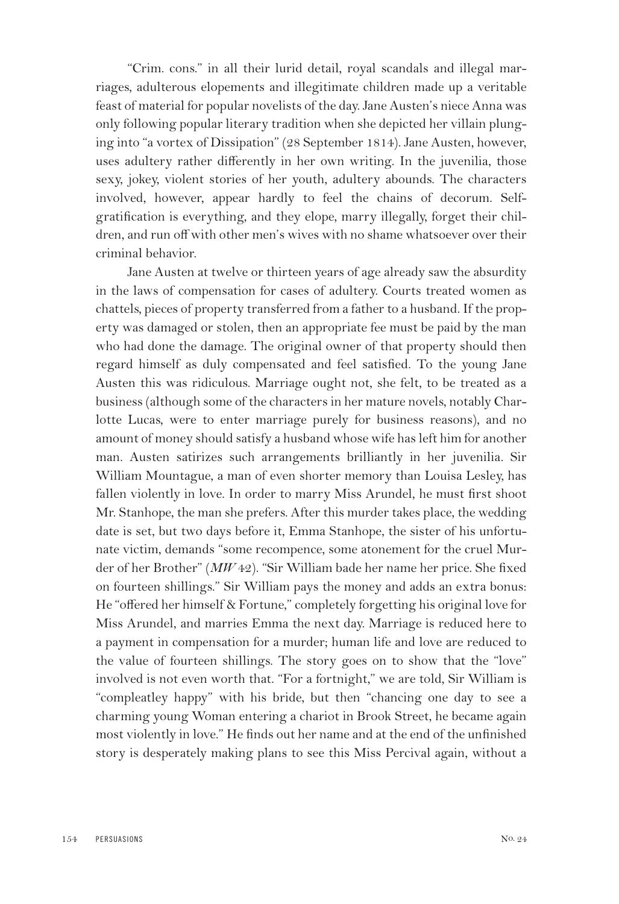"Crim. cons." in all their lurid detail, royal scandals and illegal marriages, adulterous elopements and illegitimate children made up a veritable feast of material for popular novelists of the day. Jane Austen's niece Anna was only following popular literary tradition when she depicted her villain plunging into "a vortex of Dissipation" (28 September 1814). Jane Austen, however, uses adultery rather differently in her own writing. In the juvenilia, those sexy, jokey, violent stories of her youth, adultery abounds. The characters involved, however, appear hardly to feel the chains of decorum. Selfgratification is everything, and they elope, marry illegally, forget their children, and run off with other men's wives with no shame whatsoever over their criminal behavior.

Jane Austen at twelve or thirteen years of age already saw the absurdity in the laws of compensation for cases of adultery. Courts treated women as chattels, pieces of property transferred from a father to a husband. If the property was damaged or stolen, then an appropriate fee must be paid by the man who had done the damage. The original owner of that property should then regard himself as duly compensated and feel satisfied. To the young Jane Austen this was ridiculous. Marriage ought not, she felt, to be treated as a business (although some of the characters in her mature novels, notably Charlotte Lucas, were to enter marriage purely for business reasons), and no amount of money should satisfy a husband whose wife has left him for another man. Austen satirizes such arrangements brilliantly in her juvenilia. Sir William Mountague, a man of even shorter memory than Louisa Lesley, has fallen violently in love. In order to marry Miss Arundel, he must first shoot Mr. Stanhope, the man she prefers. After this murder takes place, the wedding date is set, but two days before it, Emma Stanhope, the sister of his unfortunate victim, demands "some recompence, some atonement for the cruel Murder of her Brother" (*MW* 42). "Sir William bade her name her price. She fixed on fourteen shillings." Sir William pays the money and adds an extra bonus: He "offered her himself & Fortune," completely forgetting his original love for Miss Arundel, and marries Emma the next day. Marriage is reduced here to a payment in compensation for a murder; human life and love are reduced to the value of fourteen shillings. The story goes on to show that the "love" involved is not even worth that. "For a fortnight," we are told, Sir William is "compleatley happy" with his bride, but then "chancing one day to see a charming young Woman entering a chariot in Brook Street, he became again most violently in love." He finds out her name and at the end of the unfinished story is desperately making plans to see this Miss Percival again, without a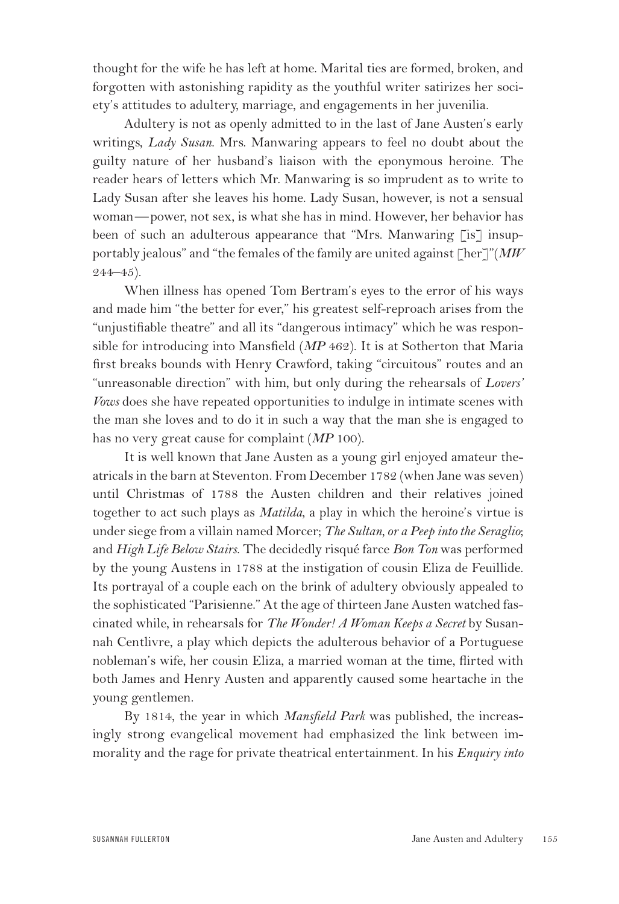thought for the wife he has left at home. Marital ties are formed, broken, and forgotten with astonishing rapidity as the youthful writer satirizes her society's attitudes to adultery, marriage, and engagements in her juvenilia.

Adultery is not as openly admitted to in the last of Jane Austen's early writings, *Lady Susan*. Mrs. Manwaring appears to feel no doubt about the guilty nature of her husband's liaison with the eponymous heroine. The reader hears of letters which Mr. Manwaring is so imprudent as to write to Lady Susan after she leaves his home. Lady Susan, however, is not a sensual woman—power, not sex, is what she has in mind. However, her behavior has been of such an adulterous appearance that "Mrs. Manwaring [is] insupportably jealous" and "the females of the family are united against [her]"(*MW*  $244 - 45$ ).

When illness has opened Tom Bertram's eyes to the error of his ways and made him "the better for ever," his greatest self-reproach arises from the "unjustifiable theatre" and all its "dangerous intimacy" which he was responsible for introducing into Mansfield (*MP* 462). It is at Sotherton that Maria first breaks bounds with Henry Crawford, taking "circuitous" routes and an "unreasonable direction" with him, but only during the rehearsals of *Lovers' Vows* does she have repeated opportunities to indulge in intimate scenes with the man she loves and to do it in such a way that the man she is engaged to has no very great cause for complaint (*MP* 100).

It is well known that Jane Austen as a young girl enjoyed amateur theatricals in the barn at Steventon. From December 1782 (when Jane was seven) until Christmas of 1788 the Austen children and their relatives joined together to act such plays as *Matilda*, a play in which the heroine's virtue is under siege from a villain named Morcer; *The Sultan, or a Peep into the Seraglio*; and *High Life Below Stairs*. The decidedly risqué farce *Bon Ton* was performed by the young Austens in 1788 at the instigation of cousin Eliza de Feuillide. Its portrayal of a couple each on the brink of adultery obviously appealed to the sophisticated "Parisienne." At the age of thirteen Jane Austen watched fascinated while, in rehearsals for *The Wonder! A Woman Keeps a Secret* by Susannah Centlivre, a play which depicts the adulterous behavior of a Portuguese nobleman's wife, her cousin Eliza, a married woman at the time, flirted with both James and Henry Austen and apparently caused some heartache in the young gentlemen.

By 1814, the year in which *Mansfield Park* was published, the increasingly strong evangelical movement had emphasized the link between immorality and the rage for private theatrical entertainment. In his *Enquiry into*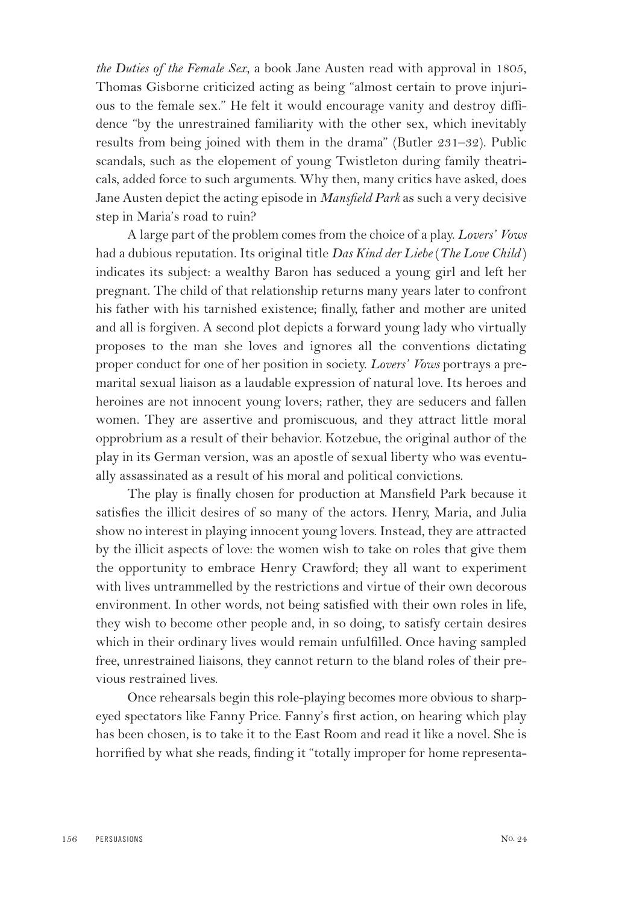*the Duties of the Female Sex*, a book Jane Austen read with approval in 1805, Thomas Gisborne criticized acting as being "almost certain to prove injurious to the female sex." He felt it would encourage vanity and destroy diffidence "by the unrestrained familiarity with the other sex, which inevitably results from being joined with them in the drama" (Butler 231–32). Public scandals, such as the elopement of young Twistleton during family theatricals, added force to such arguments. Why then, many critics have asked, does Jane Austen depict the acting episode in *Mansfield Park* as such a very decisive step in Maria's road to ruin?

A large part of the problem comes from the choice of a play. *Lovers' Vows* had a dubious reputation. Its original title *Das Kind der Liebe* (*The Love Child* ) indicates its subject: a wealthy Baron has seduced a young girl and left her pregnant. The child of that relationship returns many years later to confront his father with his tarnished existence; finally, father and mother are united and all is forgiven. A second plot depicts a forward young lady who virtually proposes to the man she loves and ignores all the conventions dictating proper conduct for one of her position in society. *Lovers' Vows* portrays a premarital sexual liaison as a laudable expression of natural love. Its heroes and heroines are not innocent young lovers; rather, they are seducers and fallen women. They are assertive and promiscuous, and they attract little moral opprobrium as a result of their behavior. Kotzebue, the original author of the play in its German version, was an apostle of sexual liberty who was eventually assassinated as a result of his moral and political convictions.

The play is finally chosen for production at Mansfield Park because it satisfies the illicit desires of so many of the actors. Henry, Maria, and Julia show no interest in playing innocent young lovers. Instead, they are attracted by the illicit aspects of love: the women wish to take on roles that give them the opportunity to embrace Henry Crawford; they all want to experiment with lives untrammelled by the restrictions and virtue of their own decorous environment. In other words, not being satisfied with their own roles in life, they wish to become other people and, in so doing, to satisfy certain desires which in their ordinary lives would remain unfulfilled. Once having sampled free, unrestrained liaisons, they cannot return to the bland roles of their previous restrained lives.

Once rehearsals begin this role-playing becomes more obvious to sharpeyed spectators like Fanny Price. Fanny's first action, on hearing which play has been chosen, is to take it to the East Room and read it like a novel. She is horrified by what she reads, finding it "totally improper for home representa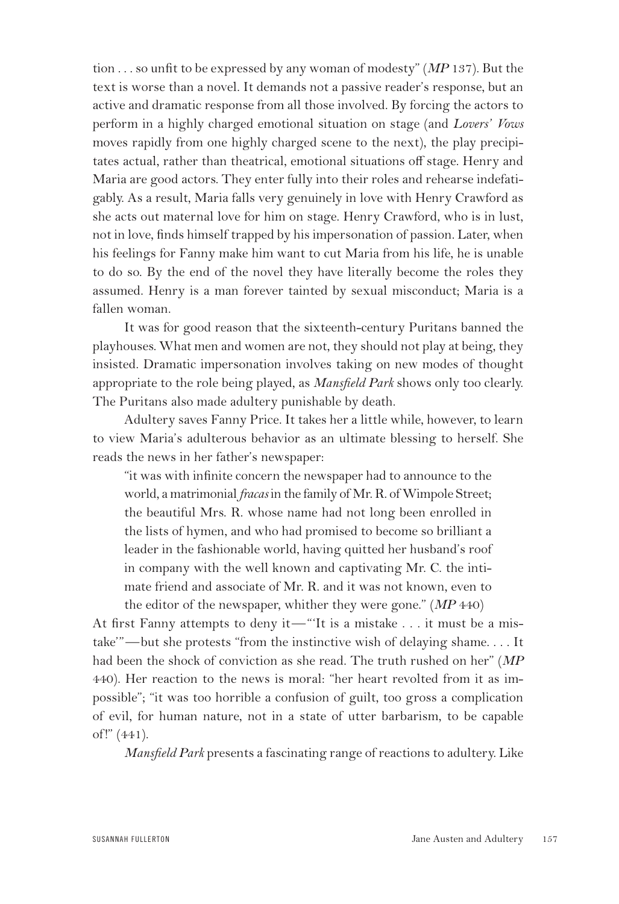tion . . . so unfit to be expressed by any woman of modesty" (*MP* 137). But the text is worse than a novel. It demands not a passive reader's response, but an active and dramatic response from all those involved. By forcing the actors to perform in a highly charged emotional situation on stage (and *Lovers' Vows* moves rapidly from one highly charged scene to the next), the play precipitates actual, rather than theatrical, emotional situations off stage. Henry and Maria are good actors. They enter fully into their roles and rehearse indefatigably. As a result, Maria falls very genuinely in love with Henry Crawford as she acts out maternal love for him on stage. Henry Crawford, who is in lust, not in love, finds himself trapped by his impersonation of passion. Later, when his feelings for Fanny make him want to cut Maria from his life, he is unable to do so. By the end of the novel they have literally become the roles they assumed. Henry is a man forever tainted by sexual misconduct; Maria is a fallen woman.

It was for good reason that the sixteenth-century Puritans banned the playhouses. What men and women are not, they should not play at being, they insisted. Dramatic impersonation involves taking on new modes of thought appropriate to the role being played, as *Mansfield Park* shows only too clearly. The Puritans also made adultery punishable by death.

Adultery saves Fanny Price. It takes her a little while, however, to learn to view Maria's adulterous behavior as an ultimate blessing to herself. She reads the news in her father's newspaper:

"it was with infinite concern the newspaper had to announce to the world, a matrimonial *fracas* in the family of Mr. R. of Wimpole Street; the beautiful Mrs. R. whose name had not long been enrolled in the lists of hymen, and who had promised to become so brilliant a leader in the fashionable world, having quitted her husband's roof in company with the well known and captivating Mr. C. the intimate friend and associate of Mr. R. and it was not known, even to the editor of the newspaper, whither they were gone." (*MP* 440)

At first Fanny attempts to deny it—"'It is a mistake . . . it must be a mistake'"—but she protests "from the instinctive wish of delaying shame. . . . It had been the shock of conviction as she read. The truth rushed on her" (*MP* 440). Her reaction to the news is moral: "her heart revolted from it as impossible"; "it was too horrible a confusion of guilt, too gross a complication of evil, for human nature, not in a state of utter barbarism, to be capable of !" (441).

*Mansfield Park* presents a fascinating range of reactions to adultery. Like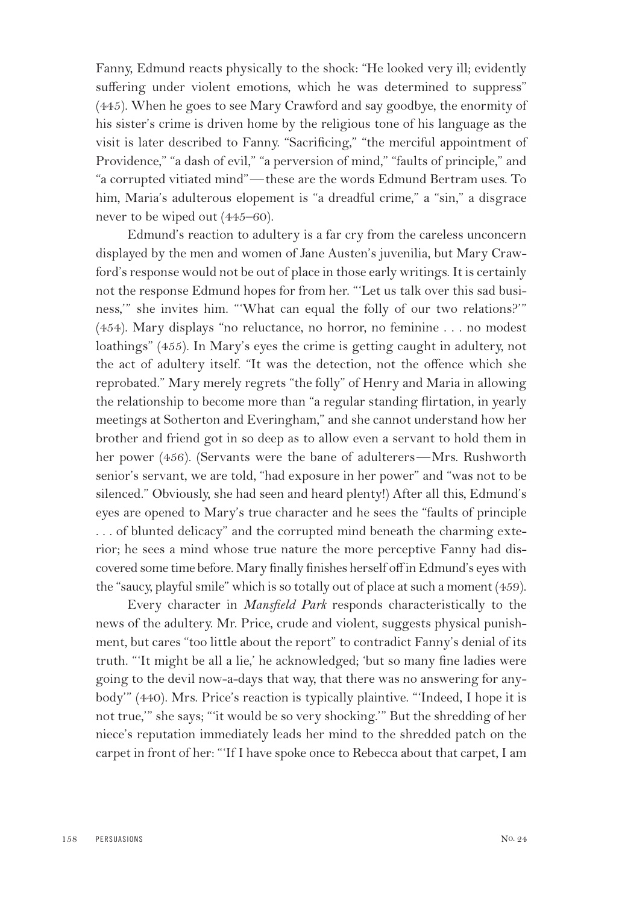Fanny, Edmund reacts physically to the shock: "He looked very ill; evidently suffering under violent emotions, which he was determined to suppress" (445). When he goes to see Mary Crawford and say goodbye, the enormity of his sister's crime is driven home by the religious tone of his language as the visit is later described to Fanny. "Sacrificing," "the merciful appointment of Providence," "a dash of evil," "a perversion of mind," "faults of principle," and "a corrupted vitiated mind"—these are the words Edmund Bertram uses. To him, Maria's adulterous elopement is "a dreadful crime," a "sin," a disgrace never to be wiped out (445–60).

Edmund's reaction to adultery is a far cry from the careless unconcern displayed by the men and women of Jane Austen's juvenilia, but Mary Crawford's response would not be out of place in those early writings. It is certainly not the response Edmund hopes for from her. "'Let us talk over this sad business,'" she invites him. "'What can equal the folly of our two relations?'" (454). Mary displays "no reluctance, no horror, no feminine . . . no modest loathings" (455). In Mary's eyes the crime is getting caught in adultery, not the act of adultery itself. "It was the detection, not the offence which she reprobated." Mary merely regrets "the folly" of Henry and Maria in allowing the relationship to become more than "a regular standing flirtation, in yearly meetings at Sotherton and Everingham," and she cannot understand how her brother and friend got in so deep as to allow even a servant to hold them in her power (456). (Servants were the bane of adulterers—Mrs. Rushworth senior's servant, we are told, "had exposure in her power" and "was not to be silenced." Obviously, she had seen and heard plenty!) After all this, Edmund's eyes are opened to Mary's true character and he sees the "faults of principle . . . of blunted delicacy" and the corrupted mind beneath the charming exterior; he sees a mind whose true nature the more perceptive Fanny had discovered some time before. Mary finally finishes herself off in Edmund's eyes with the "saucy, playful smile" which is so totally out of place at such a moment (459).

Every character in *Mansfield Park* responds characteristically to the news of the adultery. Mr. Price, crude and violent, suggests physical punishment, but cares "too little about the report" to contradict Fanny's denial of its truth. "'It might be all a lie,' he acknowledged; 'but so many fine ladies were going to the devil now-a-days that way, that there was no answering for anybody'" (440). Mrs. Price's reaction is typically plaintive. "'Indeed, I hope it is not true,'" she says; "'it would be so very shocking.'" But the shredding of her niece's reputation immediately leads her mind to the shredded patch on the carpet in front of her: "'If I have spoke once to Rebecca about that carpet, I am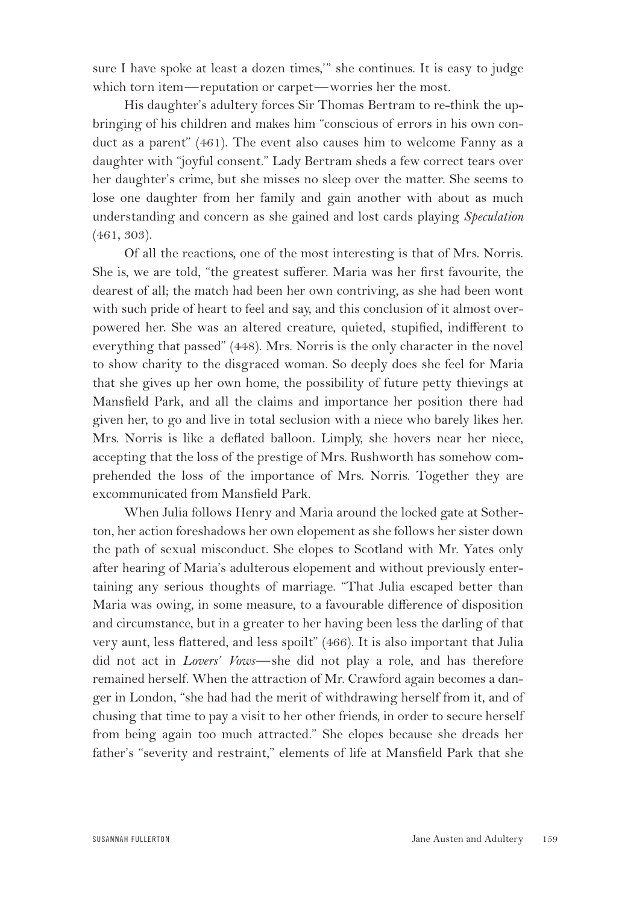sure I have spoke at least a dozen times,'" she continues. It is easy to judge which torn item—reputation or carpet—worries her the most.

His daughter's adultery forces Sir Thomas Bertram to re-think the upbringing of his children and makes him "conscious of errors in his own conduct as a parent" (461). The event also causes him to welcome Fanny as a daughter with "joyful consent." Lady Bertram sheds a few correct tears over her daughter's crime, but she misses no sleep over the matter. She seems to lose one daughter from her family and gain another with about as much understanding and concern as she gained and lost cards playing *Speculation* (461, 303).

Of all the reactions, one of the most interesting is that of Mrs. Norris. She is, we are told, "the greatest sufferer. Maria was her first favourite, the dearest of all; the match had been her own contriving, as she had been wont with such pride of heart to feel and say, and this conclusion of it almost overpowered her. She was an altered creature, quieted, stupified, indifferent to everything that passed" (448). Mrs. Norris is the only character in the novel to show charity to the disgraced woman. So deeply does she feel for Maria that she gives up her own home, the possibility of future petty thievings at Mansfield Park, and all the claims and importance her position there had given her, to go and live in total seclusion with a niece who barely likes her. Mrs. Norris is like a deflated balloon. Limply, she hovers near her niece, accepting that the loss of the prestige of Mrs. Rushworth has somehow comprehended the loss of the importance of Mrs. Norris. Together they are excommunicated from Mansfield Park.

When Julia follows Henry and Maria around the locked gate at Sotherton, her action foreshadows her own elopement as she follows her sister down the path of sexual misconduct. She elopes to Scotland with Mr. Yates only after hearing of Maria's adulterous elopement and without previously entertaining any serious thoughts of marriage. "That Julia escaped better than Maria was owing, in some measure, to a favourable difference of disposition and circumstance, but in a greater to her having been less the darling of that very aunt, less flattered, and less spoilt" (466). It is also important that Julia did not act in *Lovers' Vows*—she did not play a role, and has therefore remained herself. When the attraction of Mr. Crawford again becomes a danger in London, "she had had the merit of withdrawing herself from it, and of chusing that time to pay a visit to her other friends, in order to secure herself from being again too much attracted." She elopes because she dreads her father's "severity and restraint," elements of life at Mansfield Park that she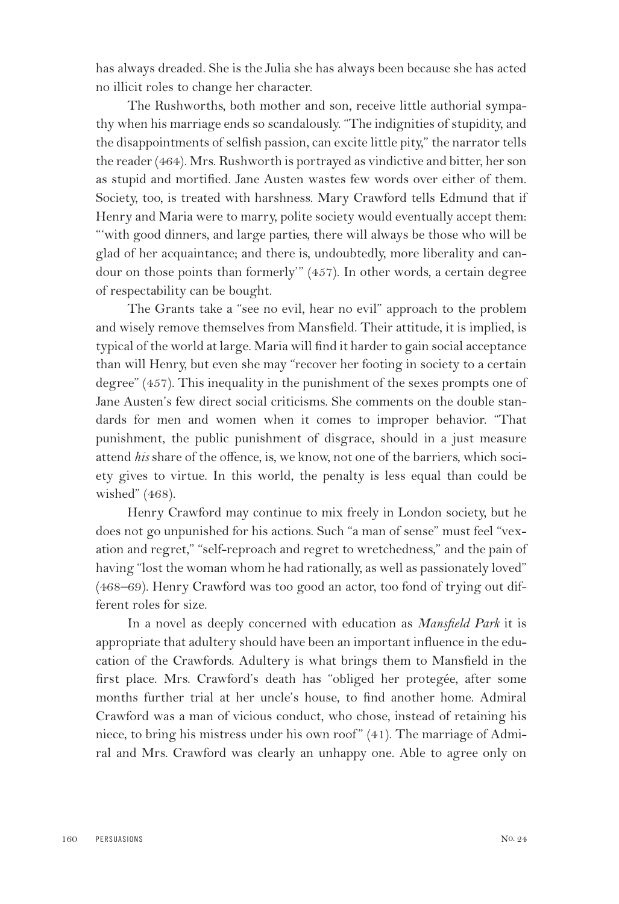has always dreaded. She is the Julia she has always been because she has acted no illicit roles to change her character.

The Rushworths, both mother and son, receive little authorial sympathy when his marriage ends so scandalously. "The indignities of stupidity, and the disappointments of selfish passion, can excite little pity," the narrator tells the reader (464). Mrs. Rushworth is portrayed as vindictive and bitter, her son as stupid and mortified. Jane Austen wastes few words over either of them. Society, too, is treated with harshness. Mary Crawford tells Edmund that if Henry and Maria were to marry, polite society would eventually accept them: "'with good dinners, and large parties, there will always be those who will be glad of her acquaintance; and there is, undoubtedly, more liberality and candour on those points than formerly'" (457). In other words, a certain degree of respectability can be bought.

The Grants take a "see no evil, hear no evil" approach to the problem and wisely remove themselves from Mansfield. Their attitude, it is implied, is typical of the world at large. Maria will find it harder to gain social acceptance than will Henry, but even she may "recover her footing in society to a certain degree" (457). This inequality in the punishment of the sexes prompts one of Jane Austen's few direct social criticisms. She comments on the double standards for men and women when it comes to improper behavior. "That punishment, the public punishment of disgrace, should in a just measure attend *his* share of the offence, is, we know, not one of the barriers, which society gives to virtue. In this world, the penalty is less equal than could be wished" (468).

Henry Crawford may continue to mix freely in London society, but he does not go unpunished for his actions. Such "a man of sense" must feel "vexation and regret," "self-reproach and regret to wretchedness," and the pain of having "lost the woman whom he had rationally, as well as passionately loved" (468–69). Henry Crawford was too good an actor, too fond of trying out different roles for size.

In a novel as deeply concerned with education as *Mansfield Park* it is appropriate that adultery should have been an important influence in the education of the Crawfords. Adultery is what brings them to Mansfield in the first place. Mrs. Crawford's death has "obliged her protegée, after some months further trial at her uncle's house, to find another home. Admiral Crawford was a man of vicious conduct, who chose, instead of retaining his niece, to bring his mistress under his own roof" (41). The marriage of Admiral and Mrs. Crawford was clearly an unhappy one. Able to agree only on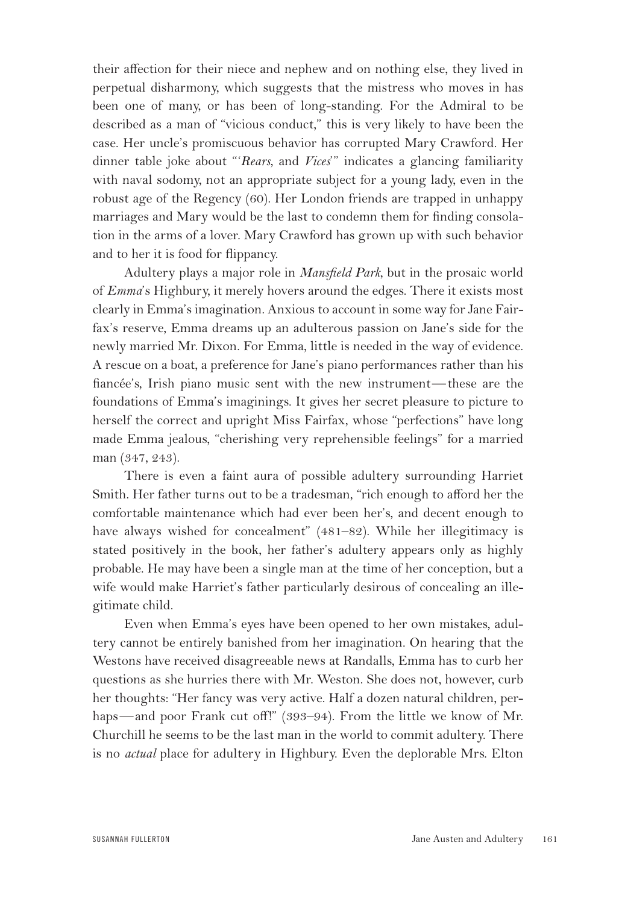their affection for their niece and nephew and on nothing else, they lived in perpetual disharmony, which suggests that the mistress who moves in has been one of many, or has been of long-standing. For the Admiral to be described as a man of "vicious conduct," this is very likely to have been the case. Her uncle's promiscuous behavior has corrupted Mary Crawford. Her dinner table joke about "'*Rears*, and *Vices*'" indicates a glancing familiarity with naval sodomy, not an appropriate subject for a young lady, even in the robust age of the Regency (60). Her London friends are trapped in unhappy marriages and Mary would be the last to condemn them for finding consolation in the arms of a lover. Mary Crawford has grown up with such behavior and to her it is food for flippancy.

Adultery plays a major role in *Mansfield Park*, but in the prosaic world of *Emma*'s Highbury, it merely hovers around the edges. There it exists most clearly in Emma's imagination. Anxious to account in some way for Jane Fairfax's reserve, Emma dreams up an adulterous passion on Jane's side for the newly married Mr. Dixon. For Emma, little is needed in the way of evidence. A rescue on a boat, a preference for Jane's piano performances rather than his fiancée's, Irish piano music sent with the new instrument—these are the foundations of Emma's imaginings. It gives her secret pleasure to picture to herself the correct and upright Miss Fairfax, whose "perfections" have long made Emma jealous, "cherishing very reprehensible feelings" for a married man (347, 243).

There is even a faint aura of possible adultery surrounding Harriet Smith. Her father turns out to be a tradesman, "rich enough to afford her the comfortable maintenance which had ever been her's, and decent enough to have always wished for concealment" (481–82). While her illegitimacy is stated positively in the book, her father's adultery appears only as highly probable. He may have been a single man at the time of her conception, but a wife would make Harriet's father particularly desirous of concealing an illegitimate child.

Even when Emma's eyes have been opened to her own mistakes, adultery cannot be entirely banished from her imagination. On hearing that the Westons have received disagreeable news at Randalls, Emma has to curb her questions as she hurries there with Mr. Weston. She does not, however, curb her thoughts: "Her fancy was very active. Half a dozen natural children, perhaps—and poor Frank cut off!" (393-94). From the little we know of Mr. Churchill he seems to be the last man in the world to commit adultery. There is no *actual* place for adultery in Highbury. Even the deplorable Mrs. Elton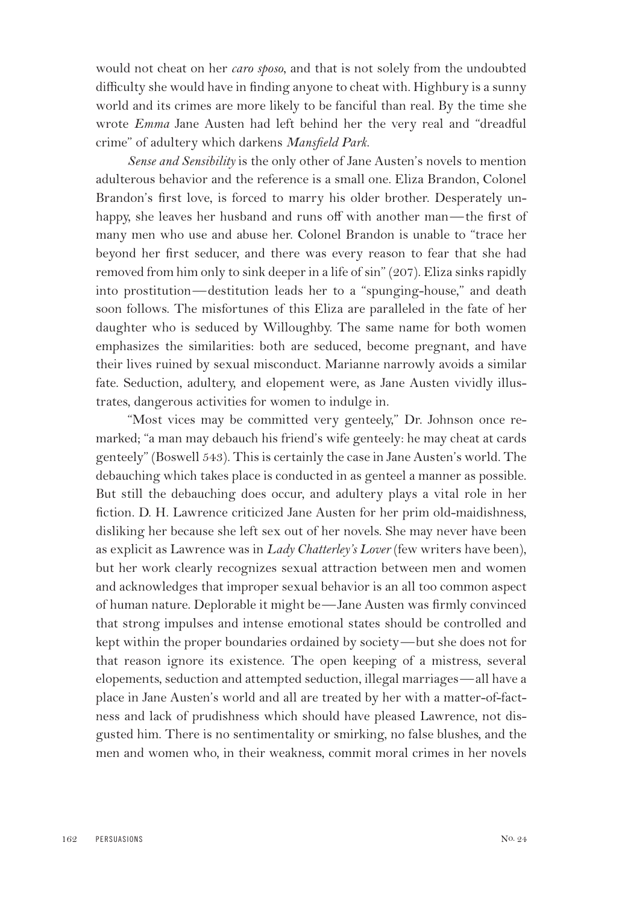would not cheat on her *caro sposo*, and that is not solely from the undoubted difficulty she would have in finding anyone to cheat with. Highbury is a sunny world and its crimes are more likely to be fanciful than real. By the time she wrote *Emma* Jane Austen had left behind her the very real and "dreadful crime" of adultery which darkens *Mansfield Park*.

*Sense and Sensibility* is the only other of Jane Austen's novels to mention adulterous behavior and the reference is a small one. Eliza Brandon, Colonel Brandon's first love, is forced to marry his older brother. Desperately unhappy, she leaves her husband and runs off with another man—the first of many men who use and abuse her. Colonel Brandon is unable to "trace her beyond her first seducer, and there was every reason to fear that she had removed from him only to sink deeper in a life of sin" (207). Eliza sinks rapidly into prostitution—destitution leads her to a "spunging-house," and death soon follows. The misfortunes of this Eliza are paralleled in the fate of her daughter who is seduced by Willoughby. The same name for both women emphasizes the similarities: both are seduced, become pregnant, and have their lives ruined by sexual misconduct. Marianne narrowly avoids a similar fate. Seduction, adultery, and elopement were, as Jane Austen vividly illustrates, dangerous activities for women to indulge in.

"Most vices may be committed very genteely," Dr. Johnson once remarked; "a man may debauch his friend's wife genteely: he may cheat at cards genteely" (Boswell 543). This is certainly the case in Jane Austen's world. The debauching which takes place is conducted in as genteel a manner as possible. But still the debauching does occur, and adultery plays a vital role in her fiction. D. H. Lawrence criticized Jane Austen for her prim old-maidishness, disliking her because she left sex out of her novels. She may never have been as explicit as Lawrence was in *Lady Chatterley's Lover* (few writers have been), but her work clearly recognizes sexual attraction between men and women and acknowledges that improper sexual behavior is an all too common aspect of human nature. Deplorable it might be—Jane Austen was firmly convinced that strong impulses and intense emotional states should be controlled and kept within the proper boundaries ordained by society—but she does not for that reason ignore its existence. The open keeping of a mistress, several elopements, seduction and attempted seduction, illegal marriages—all have a place in Jane Austen's world and all are treated by her with a matter-of-factness and lack of prudishness which should have pleased Lawrence, not disgusted him. There is no sentimentality or smirking, no false blushes, and the men and women who, in their weakness, commit moral crimes in her novels